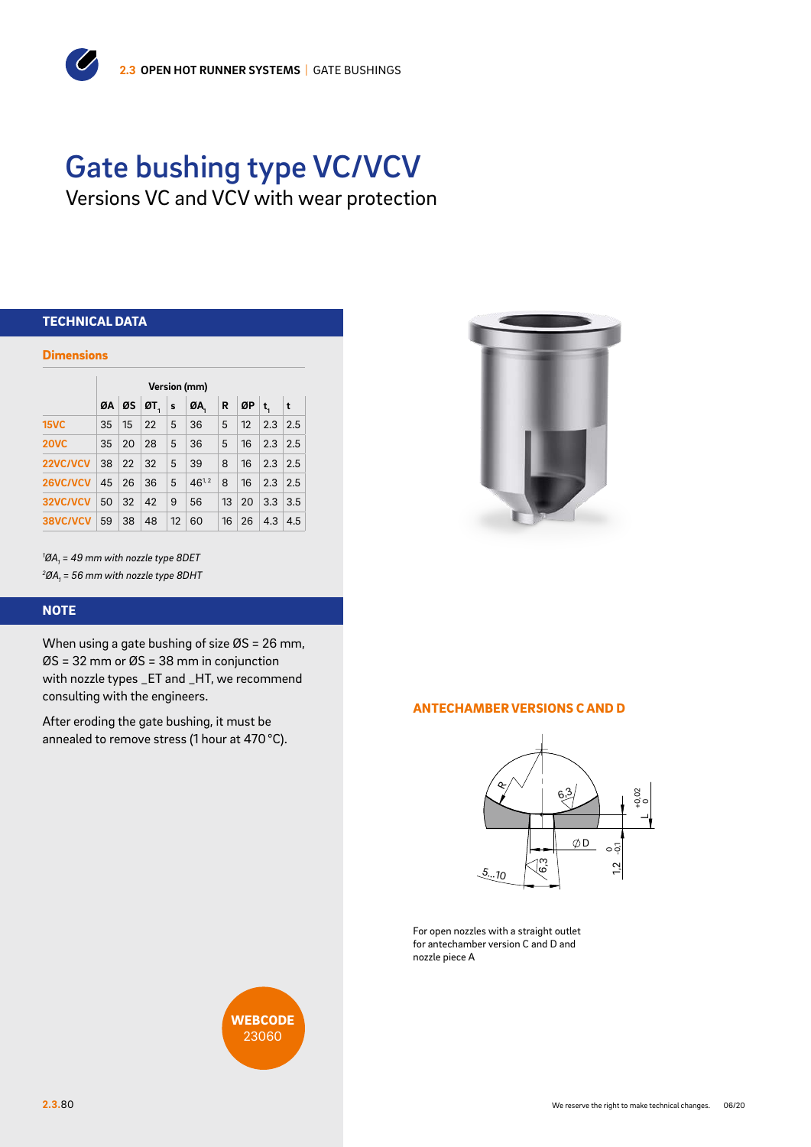# Gate bushing type VC/VCV

Versions VC and VCV with wear protection

## TECHNICAL DATA

 $\overline{C}$ 

#### **Dimensions**

|             | Version (mm) |              |                    |                |            |                 |                   |                        |     |  |  |  |  |  |  |
|-------------|--------------|--------------|--------------------|----------------|------------|-----------------|-------------------|------------------------|-----|--|--|--|--|--|--|
|             |              |              | $QA$ $QS$ $QT_s$ s |                | ØA,        | R               | $\mathcal{Q}P$ t. |                        | ∣t. |  |  |  |  |  |  |
| <b>15VC</b> | 35           |              | $15 \,   \, 22 \,$ | 5              | 36         | $5\phantom{.0}$ | 12                | 2.3 2.5                |     |  |  |  |  |  |  |
| <b>20VC</b> | 35           | 20 28        |                    | 5              | 36         | 5               |                   | $16 \mid 2.3 \mid 2.5$ |     |  |  |  |  |  |  |
| 22VC/VCV    | 38 22 32     |              |                    | $-5$           | 39         | 8               |                   | $16$   2.3   2.5       |     |  |  |  |  |  |  |
| 26VC/VCV    |              |              | 45 26 36           | 5 <sup>5</sup> | $46^{1,2}$ | 8               | 16                | 2.3 2.5                |     |  |  |  |  |  |  |
| 32VC/VCV    | 50           | $32 \mid 42$ |                    | 9              | 56         |                 | $13 \mid 20$      | $3.3 \mid 3.5$         |     |  |  |  |  |  |  |
| 38VC/VCV    | 59           | 38           | 48                 |                | 12   60    |                 | $16 \mid 26$      | 4.3                    | 4.5 |  |  |  |  |  |  |

*1 ØA1 = 49 mm with nozzle type 8DET 2 ØA1 = 56 mm with nozzle type 8DHT*

#### **NOTE**

When using a gate bushing of size ØS = 26 mm, ØS = 32 mm or ØS = 38 mm in conjunction with nozzle types \_ET and \_HT, we recommend consulting with the engineers.

After eroding the gate bushing, it must be annealed to remove stress (1 hour at 470°C).



#### ANTECHAMBER VERSIONS C AND D



For open nozzles with a straight outlet for antechamber version C and D and nozzle piece A